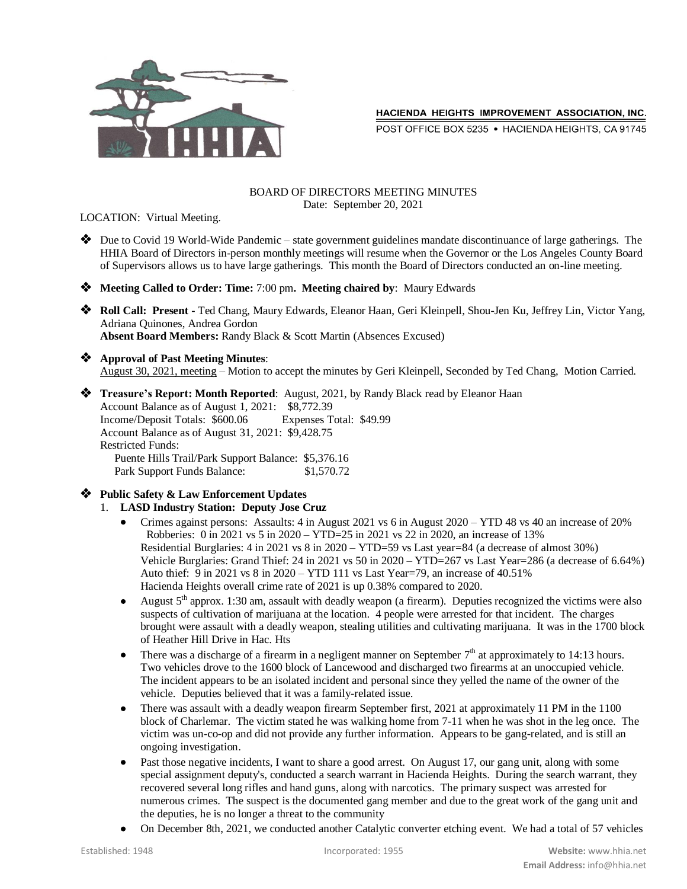

HACIENDA HEIGHTS IMPROVEMENT ASSOCIATION, INC.

POST OFFICE BOX 5235 . HACIENDA HEIGHTS, CA 91745

#### BOARD OF DIRECTORS MEETING MINUTES Date: September 20, 2021

LOCATION: Virtual Meeting.

 Due to Covid 19 World-Wide Pandemic – state government guidelines mandate discontinuance of large gatherings. The HHIA Board of Directors in-person monthly meetings will resume when the Governor or the Los Angeles County Board of Supervisors allows us to have large gatherings. This month the Board of Directors conducted an on-line meeting.

**Meeting Called to Order: Time:** 7:00 pm**. Meeting chaired by**: Maury Edwards

 **Roll Call: Present -** Ted Chang, Maury Edwards, Eleanor Haan, Geri Kleinpell, Shou-Jen Ku, Jeffrey Lin, Victor Yang, Adriana Quinones, Andrea Gordon **Absent Board Members:** Randy Black & Scott Martin (Absences Excused)

- **Approval of Past Meeting Minutes**: August 30, 2021, meeting – Motion to accept the minutes by Geri Kleinpell, Seconded by Ted Chang, Motion Carried.
- **Treasure's Report: Month Reported**: August, 2021, by Randy Black read by Eleanor Haan Account Balance as of August 1, 2021: \$8,772.39 Income/Deposit Totals: \$600.06 Expenses Total: \$49.99 Account Balance as of August 31, 2021: \$9,428.75 Restricted Funds: Puente Hills Trail/Park Support Balance: \$5,376.16 Park Support Funds Balance: \$1,570.72
- **Public Safety & Law Enforcement Updates**
	- 1. **LASD Industry Station: Deputy Jose Cruz**
		- Crimes against persons: Assaults: 4 in August 2021 vs 6 in August 2020 YTD 48 vs 40 an increase of 20% Robberies: 0 in 2021 vs 5 in 2020 – YTD=25 in 2021 vs 22 in 2020, an increase of 13% Residential Burglaries: 4 in 2021 vs 8 in 2020 – YTD=59 vs Last year=84 (a decrease of almost 30%) Vehicle Burglaries: Grand Thief: 24 in 2021 vs 50 in 2020 – YTD=267 vs Last Year=286 (a decrease of 6.64%) Auto thief: 9 in 2021 vs 8 in 2020 – YTD 111 vs Last Year=79, an increase of 40.51% Hacienda Heights overall crime rate of 2021 is up 0.38% compared to 2020.
		- August  $5<sup>th</sup>$  approx. 1:30 am, assault with deadly weapon (a firearm). Deputies recognized the victims were also suspects of cultivation of marijuana at the location. 4 people were arrested for that incident. The charges brought were assault with a deadly weapon, stealing utilities and cultivating marijuana. It was in the 1700 block of Heather Hill Drive in Hac. Hts
		- There was a discharge of a firearm in a negligent manner on September  $7<sup>th</sup>$  at approximately to 14:13 hours. Two vehicles drove to the 1600 block of Lancewood and discharged two firearms at an unoccupied vehicle. The incident appears to be an isolated incident and personal since they yelled the name of the owner of the vehicle. Deputies believed that it was a family-related issue.
		- There was assault with a deadly weapon firearm September first, 2021 at approximately 11 PM in the 1100 block of Charlemar. The victim stated he was walking home from 7-11 when he was shot in the leg once. The victim was un-co-op and did not provide any further information. Appears to be gang-related, and is still an ongoing investigation.
		- Past those negative incidents, I want to share a good arrest. On August 17, our gang unit, along with some special assignment deputy's, conducted a search warrant in Hacienda Heights. During the search warrant, they recovered several long rifles and hand guns, along with narcotics. The primary suspect was arrested for numerous crimes. The suspect is the documented gang member and due to the great work of the gang unit and the deputies, he is no longer a threat to the community
		- On December 8th, 2021, we conducted another Catalytic converter etching event. We had a total of 57 vehicles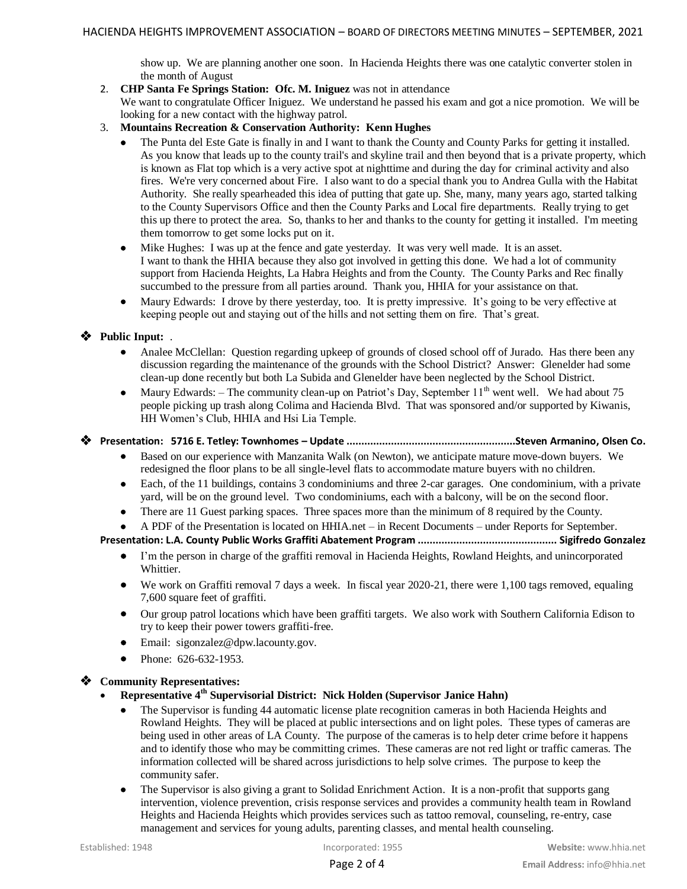show up. We are planning another one soon. In Hacienda Heights there was one catalytic converter stolen in the month of August

2. **CHP Santa Fe Springs Station: Ofc. M. Iniguez** was not in attendance

We want to congratulate Officer Iniguez. We understand he passed his exam and got a nice promotion. We will be looking for a new contact with the highway patrol.

- 3. **Mountains Recreation & Conservation Authority: Kenn Hughes**
	- The Punta del Este Gate is finally in and I want to thank the County and County Parks for getting it installed. As you know that leads up to the county trail's and skyline trail and then beyond that is a private property, which is known as Flat top which is a very active spot at nighttime and during the day for criminal activity and also fires. We're very concerned about Fire. I also want to do a special thank you to Andrea Gulla with the Habitat Authority. She really spearheaded this idea of putting that gate up. She, many, many years ago, started talking to the County Supervisors Office and then the County Parks and Local fire departments. Really trying to get this up there to protect the area. So, thanks to her and thanks to the county for getting it installed. I'm meeting them tomorrow to get some locks put on it.
	- Mike Hughes: I was up at the fence and gate yesterday. It was very well made. It is an asset. I want to thank the HHIA because they also got involved in getting this done. We had a lot of community support from Hacienda Heights, La Habra Heights and from the County. The County Parks and Rec finally succumbed to the pressure from all parties around. Thank you, HHIA for your assistance on that.
	- Maury Edwards: I drove by there yesterday, too. It is pretty impressive. It's going to be very effective at keeping people out and staying out of the hills and not setting them on fire. That's great.

## **Public Input:** .

- Analee McClellan: Question regarding upkeep of grounds of closed school off of Jurado. Has there been any discussion regarding the maintenance of the grounds with the School District? Answer: Glenelder had some clean-up done recently but both La Subida and Glenelder have been neglected by the School District.
- Maury Edwards: The community clean-up on Patriot's Day, September  $11<sup>th</sup>$  went well. We had about 75 people picking up trash along Colima and Hacienda Blvd. That was sponsored and/or supported by Kiwanis, HH Women's Club, HHIA and Hsi Lia Temple.

### **Presentation: 5716 E. Tetley: Townhomes – Update .........................................................Steven Armanino, Olsen Co.**

- Based on our experience with Manzanita Walk (on Newton), we anticipate mature move-down buyers. We redesigned the floor plans to be all single-level flats to accommodate mature buyers with no children.
- Each, of the 11 buildings, contains 3 condominiums and three 2-car garages. One condominium, with a private yard, will be on the ground level. Two condominiums, each with a balcony, will be on the second floor.
- There are 11 Guest parking spaces. Three spaces more than the minimum of 8 required by the County.
- A PDF of the Presentation is located on HHIA.net in Recent Documents under Reports for September.

**Presentation: L.A. County Public Works Graffiti Abatement Program ............................................... Sigifredo Gonzalez**

- I'm the person in charge of the graffiti removal in Hacienda Heights, Rowland Heights, and unincorporated Whittier.
- We work on Graffiti removal 7 days a week. In fiscal year 2020-21, there were 1,100 tags removed, equaling 7,600 square feet of graffiti.
- Our group patrol locations which have been graffiti targets. We also work with Southern California Edison to try to keep their power towers graffiti-free.
- Email: sigonzalez@dpw.lacounty.gov.
- Phone: 626-632-1953.

# **Community Representatives:**

- **Representative 4th Supervisorial District: Nick Holden (Supervisor Janice Hahn)**
	- The Supervisor is funding 44 automatic license plate recognition cameras in both Hacienda Heights and Rowland Heights. They will be placed at public intersections and on light poles. These types of cameras are being used in other areas of LA County. The purpose of the cameras is to help deter crime before it happens and to identify those who may be committing crimes. These cameras are not red light or traffic cameras. The information collected will be shared across jurisdictions to help solve crimes. The purpose to keep the community safer.
	- The Supervisor is also giving a grant to Solidad Enrichment Action. It is a non-profit that supports gang intervention, violence prevention, crisis response services and provides a community health team in Rowland Heights and Hacienda Heights which provides services such as tattoo removal, counseling, re-entry, case management and services for young adults, parenting classes, and mental health counseling.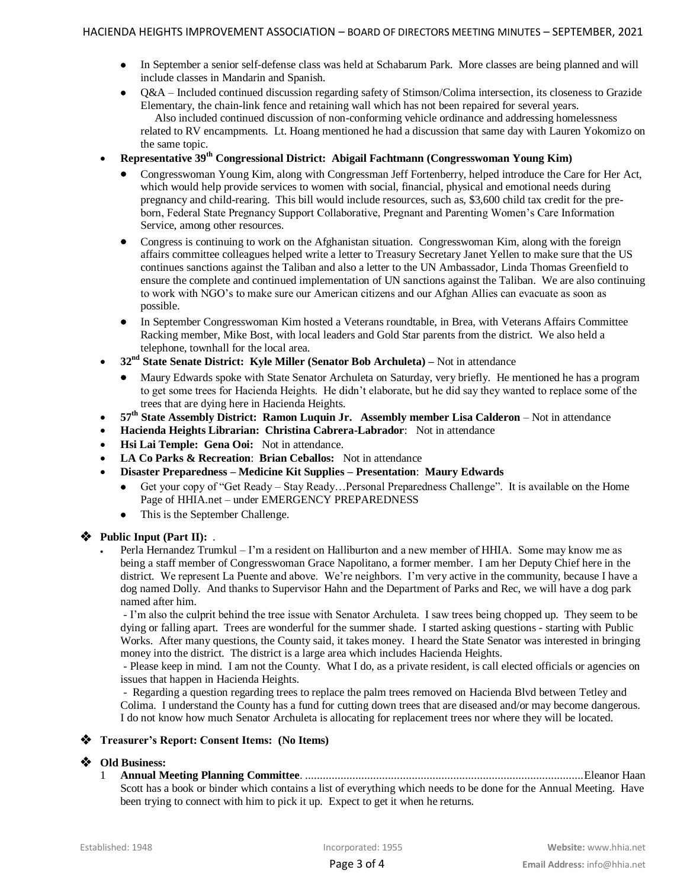- In September a senior self-defense class was held at Schabarum Park. More classes are being planned and will include classes in Mandarin and Spanish.
- Q&A Included continued discussion regarding safety of Stimson/Colima intersection, its closeness to Grazide Elementary, the chain-link fence and retaining wall which has not been repaired for several years. Also included continued discussion of non-conforming vehicle ordinance and addressing homelessness related to RV encampments. Lt. Hoang mentioned he had a discussion that same day with Lauren Yokomizo on the same topic.
- **Representative 39th Congressional District: Abigail Fachtmann (Congresswoman Young Kim)**
	- Congresswoman Young Kim, along with Congressman Jeff Fortenberry, helped introduce the Care for Her Act, which would help provide services to women with social, financial, physical and emotional needs during pregnancy and child-rearing. This bill would include resources, such as, \$3,600 child tax credit for the preborn, Federal State Pregnancy Support Collaborative, Pregnant and Parenting Women's Care Information Service, among other resources.
	- Congress is continuing to work on the Afghanistan situation. Congresswoman Kim, along with the foreign affairs committee colleagues helped write a letter to Treasury Secretary Janet Yellen to make sure that the US continues sanctions against the Taliban and also a letter to the UN Ambassador, Linda Thomas Greenfield to ensure the complete and continued implementation of UN sanctions against the Taliban. We are also continuing to work with NGO's to make sure our American citizens and our Afghan Allies can evacuate as soon as possible.
	- In September Congresswoman Kim hosted a Veterans roundtable, in Brea, with Veterans Affairs Committee Racking member, Mike Bost, with local leaders and Gold Star parents from the district. We also held a telephone, townhall for the local area.
- **32nd State Senate District: Kyle Miller (Senator Bob Archuleta) –** Not in attendance
	- Maury Edwards spoke with State Senator Archuleta on Saturday, very briefly. He mentioned he has a program to get some trees for Hacienda Heights. He didn't elaborate, but he did say they wanted to replace some of the trees that are dying here in Hacienda Heights.
- **57th State Assembly District: Ramon Luquin Jr. Assembly member Lisa Calderon** Not in attendance
- **Hacienda Heights Librarian: Christina Cabrera-Labrador**: Not in attendance
- **Hsi Lai Temple: Gena Ooi:** Not in attendance.
- **LA Co Parks & Recreation**: **Brian Ceballos:** Not in attendance
- **Disaster Preparedness – Medicine Kit Supplies – Presentation**: **Maury Edwards**
	- Get your copy of "Get Ready Stay Ready…Personal Preparedness Challenge". It is available on the Home Page of HHIA.net – under EMERGENCY PREPAREDNESS
	- This is the September Challenge.

### **Public Input (Part II):** .

 Perla Hernandez Trumkul – I'm a resident on Halliburton and a new member of HHIA. Some may know me as being a staff member of Congresswoman Grace Napolitano, a former member. I am her Deputy Chief here in the district. We represent La Puente and above. We're neighbors. I'm very active in the community, because I have a dog named Dolly. And thanks to Supervisor Hahn and the Department of Parks and Rec, we will have a dog park named after him.

- I'm also the culprit behind the tree issue with Senator Archuleta. I saw trees being chopped up. They seem to be dying or falling apart. Trees are wonderful for the summer shade. I started asking questions - starting with Public Works. After many questions, the County said, it takes money. I heard the State Senator was interested in bringing money into the district. The district is a large area which includes Hacienda Heights.

- Please keep in mind. I am not the County. What I do, as a private resident, is call elected officials or agencies on issues that happen in Hacienda Heights.

- Regarding a question regarding trees to replace the palm trees removed on Hacienda Blvd between Tetley and Colima. I understand the County has a fund for cutting down trees that are diseased and/or may become dangerous. I do not know how much Senator Archuleta is allocating for replacement trees nor where they will be located.

#### **Treasurer's Report: Consent Items: (No Items)**

### **Old Business:**

1 **Annual Meeting Planning Committee**. ..............................................................................................Eleanor Haan Scott has a book or binder which contains a list of everything which needs to be done for the Annual Meeting. Have been trying to connect with him to pick it up. Expect to get it when he returns.